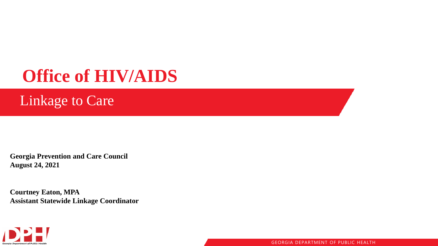### **Office of HIV/AIDS**

### Linkage to Care

**Georgia Prevention and Care Council August 24, 2021**

**Courtney Eaton, MPA Assistant Statewide Linkage Coordinator**

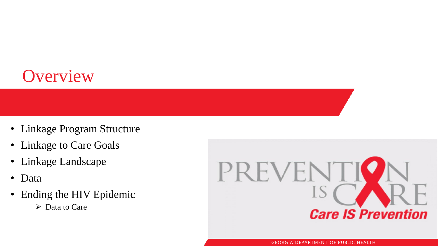### **Overview**

- Linkage Program Structure
- Linkage to Care Goals
- Linkage Landscape
- Data
- Ending the HIV Epidemic
	- ➢ Data to Care

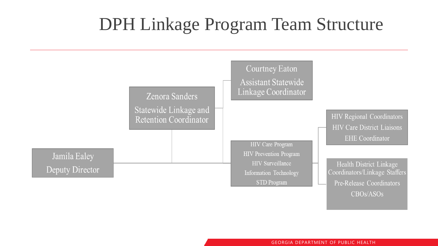### DPH Linkage Program Team Structure

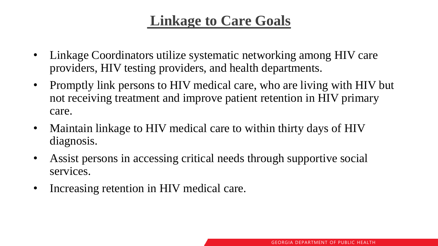### **Linkage to Care Goals**

- Linkage Coordinators utilize systematic networking among HIV care providers, HIV testing providers, and health departments.
- Promptly link persons to HIV medical care, who are living with HIV but not receiving treatment and improve patient retention in HIV primary care.
- Maintain linkage to HIV medical care to within thirty days of HIV diagnosis.
- Assist persons in accessing critical needs through supportive social services.
- Increasing retention in HIV medical care.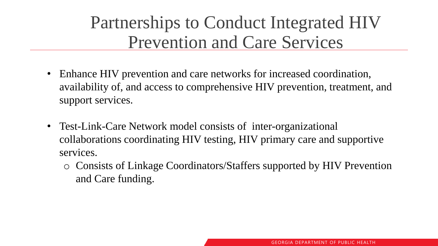### Partnerships to Conduct Integrated HIV Prevention and Care Services

- Enhance HIV prevention and care networks for increased coordination, availability of, and access to comprehensive HIV prevention, treatment, and support services.
- Test-Link-Care Network model consists of inter-organizational collaborations coordinating HIV testing, HIV primary care and supportive services.
	- o Consists of Linkage Coordinators/Staffers supported by HIV Prevention and Care funding.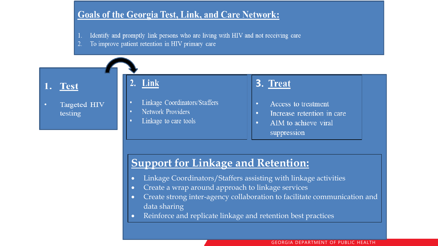#### **Goals of the Georgia Test, Link, and Care Network:**

- Identify and promptly link persons who are living with HIV and not receiving care
- To improve patient retention in HIV primary care

#### 1. Test

Targeted HIV testing

#### 2. Link

- Linkage Coordinators/Staffers
- **Network Providers**
- Linkage to care tools

#### 3. Treat

- Access to treatment  $\bullet$
- Increase retention in care  $\bullet$
- AIM to achieve viral  $\bullet$ suppression

#### **Support for Linkage and Retention:**

- Linkage Coordinators/Staffers assisting with linkage activities
- Create a wrap around approach to linkage services
- Create strong inter-agency collaboration to facilitate communication and data sharing
- Reinforce and replicate linkage and retention best practices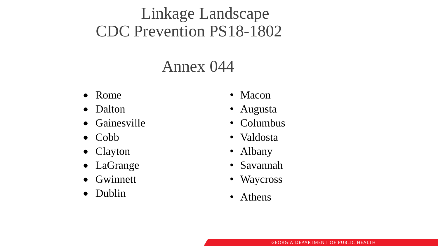### Linkage Landscape CDC Prevention PS18-1802

### Annex 044

- Rome
- Dalton
- Gainesville
- Cobb
- Clayton
- LaGrange
- Gwinnett
- Dublin
- Macon
- Augusta
- Columbus
- Valdosta
- Albany
- Savannah
- Waycross
- Athens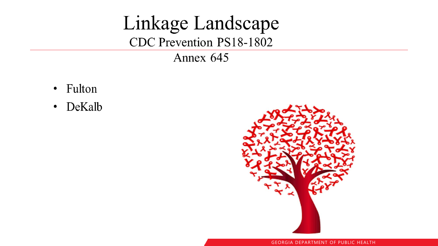### Linkage Landscape CDC Prevention PS18-1802

#### Annex 645

- · Fulton
- DeKalb

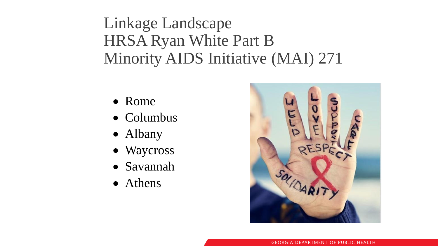### Linkage Landscape HRSA Ryan White Part B Minority AIDS Initiative (MAI) 271

- Rome
- Columbus
- Albany
- Waycross
- Savannah
- Athens

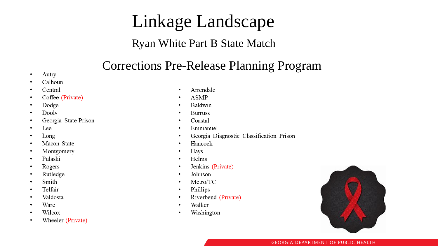### Linkage Landscape

#### Ryan White Part B State Match

### Corrections Pre-Release Planning Program

- Autry  $\bullet$
- Calhoun  $\bullet$
- Central  $\bullet$
- Coffee (Private)  $\bullet$
- Dodge  $\bullet$
- Dooly  $\bullet$
- Georgia State Prison  $\bullet$
- Lee  $\bullet$
- Long  $\bullet$
- Macon State  $\bullet$
- Montgomery  $\bullet$
- Pulaski  $\bullet$
- Rogers  $\bullet$
- Rutledge  $\bullet$
- Smith  $\bullet$
- Telfair  $\bullet$
- Valdosta  $\bullet$
- Ware  $\bullet$
- Wilcox  $\bullet$
- Wheeler (Private)  $\bullet$
- Arrendale  $\bullet$
- **ASMP**  $\bullet$
- Baldwin  $\bullet$
- **Burruss**  $\bullet$
- Coastal  $\bullet$
- Emmanuel  $\bullet$
- Georgia Diagnostic Classification Prison  $\bullet$
- Hancock  $\bullet$
- Hays  $\bullet$
- Helms  $\bullet$
- Jenkins (Private)  $\bullet$
- Johnson  $\bullet$
- Metro/TC  $\bullet$
- Phillips  $\bullet$
- Riverbend (Private)  $\bullet$
- Walker  $\bullet$
- Washington  $\bullet$

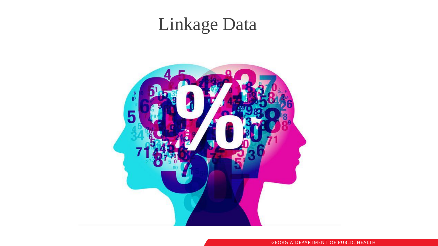# Linkage Data

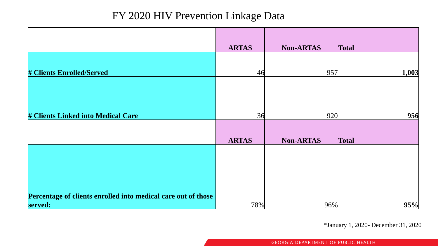#### FY 2020 HIV Prevention Linkage Data

|                                                               | <b>ARTAS</b> | <b>Non-ARTAS</b> | <b>Total</b> |
|---------------------------------------------------------------|--------------|------------------|--------------|
|                                                               |              |                  |              |
| <b># Clients Enrolled/Served</b>                              | 46           | 957              | 1,003        |
|                                                               |              |                  |              |
|                                                               |              |                  |              |
| # Clients Linked into Medical Care                            | 36           | 920              | 956          |
|                                                               |              |                  |              |
|                                                               | <b>ARTAS</b> | <b>Non-ARTAS</b> | <b>Total</b> |
|                                                               |              |                  |              |
|                                                               |              |                  |              |
|                                                               |              |                  |              |
|                                                               |              |                  |              |
| Percentage of clients enrolled into medical care out of those |              |                  |              |
| served:                                                       | 78%          | 96%              | 95%          |

\*January 1, 2020- December 31, 2020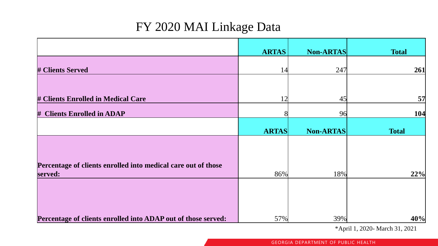#### FY 2020 MAI Linkage Data

|                                                               | <b>ARTAS</b> | <b>Non-ARTAS</b> | <b>Total</b> |
|---------------------------------------------------------------|--------------|------------------|--------------|
| <b># Clients Served</b>                                       | 14           | 247              | 261          |
|                                                               |              |                  |              |
| # Clients Enrolled in Medical Care                            | 12           | 45               | 57           |
| # Clients Enrolled in ADAP                                    | 81           | 96               | 104          |
|                                                               | <b>ARTAS</b> | <b>Non-ARTAS</b> | <b>Total</b> |
|                                                               |              |                  |              |
| Percentage of clients enrolled into medical care out of those |              |                  |              |
| served:                                                       | 86%          | 18%              | 22%          |
|                                                               |              |                  |              |
|                                                               |              |                  |              |
| Percentage of clients enrolled into ADAP out of those served: | 57%          | 39%              | 40%          |

\*April 1, 2020- March 31, 2021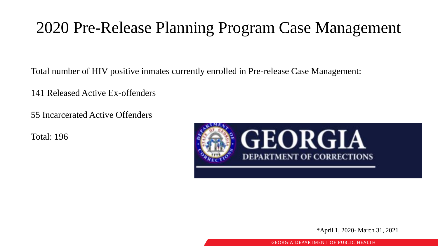### 2020 Pre-Release Planning Program Case Management

Total number of HIV positive inmates currently enrolled in Pre-release Case Management:

141 Released Active Ex-offenders

55 Incarcerated Active Offenders

Total: 196



\*April 1, 2020- March 31, 2021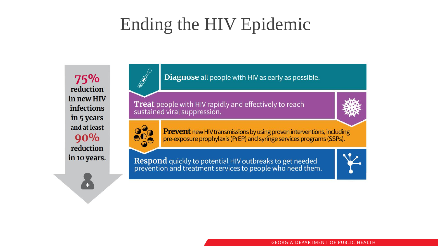### Ending the HIV Epidemic

75% reduction in new HIV **infections** in 5 years and at least  $90%$ reduction in 10 years. Diagnose all people with HIV as early as possible.

**Treat** people with HIV rapidly and effectively to reach sustained viral suppression.





**AND** 

**Prevent** new HIV transmissions by using proven interventions, including pre-exposure prophylaxis (PrEP) and syringe services programs (SSPs).

**Respond** quickly to potential HIV outbreaks to get needed<br>prevention and treatment services to people who need them.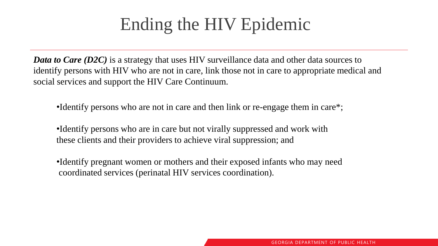### Ending the HIV Epidemic

*Data to Care (D2C)* is a strategy that uses HIV surveillance data and other data sources to identify persons with HIV who are not in care, link those not in care to appropriate medical and social services and support the HIV Care Continuum.

•Identify persons who are not in care and then link or re-engage them in care\*;

•Identify persons who are in care but not virally suppressed and work with these clients and their providers to achieve viral suppression; and

•Identify pregnant women or mothers and their exposed infants who may need coordinated services (perinatal HIV services coordination).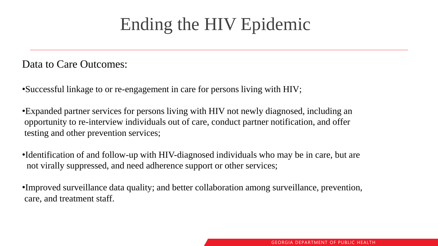### Ending the HIV Epidemic

Data to Care Outcomes:

•Successful linkage to or re-engagement in care for persons living with HIV;

•Expanded partner services for persons living with HIV not newly diagnosed, including an opportunity to re-interview individuals out of care, conduct partner notification, and offer testing and other prevention services;

•Identification of and follow-up with HIV-diagnosed individuals who may be in care, but are not virally suppressed, and need adherence support or other services;

•Improved surveillance data quality; and better collaboration among surveillance, prevention, care, and treatment staff.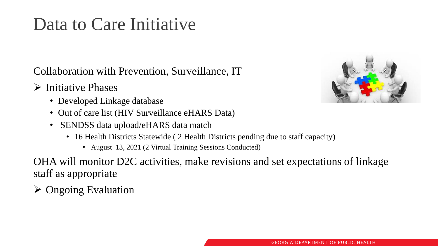### Data to Care Initiative

Collaboration with Prevention, Surveillance, IT

- ➢ Initiative Phases
	- Developed Linkage database
	- Out of care list (HIV Surveillance eHARS Data)
	- SENDSS data upload/eHARS data match
		- 16 Health Districts Statewide ( 2 Health Districts pending due to staff capacity)
			- August 13, 2021 (2 Virtual Training Sessions Conducted)

OHA will monitor D2C activities, make revisions and set expectations of linkage staff as appropriate

➢ Ongoing Evaluation

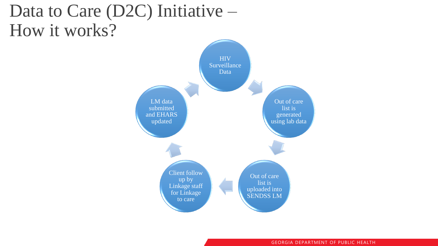### Data to Care (D2C) Initiative – How it works?

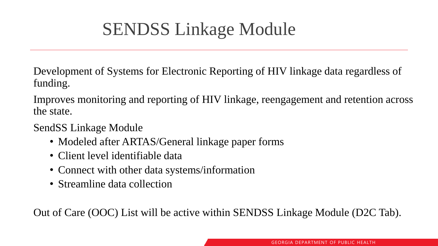## SENDSS Linkage Module

Development of Systems for Electronic Reporting of HIV linkage data regardless of funding.

Improves monitoring and reporting of HIV linkage, reengagement and retention across the state.

SendSS Linkage Module

- Modeled after ARTAS/General linkage paper forms
- Client level identifiable data
- Connect with other data systems/information
- Streamline data collection

Out of Care (OOC) List will be active within SENDSS Linkage Module (D2C Tab).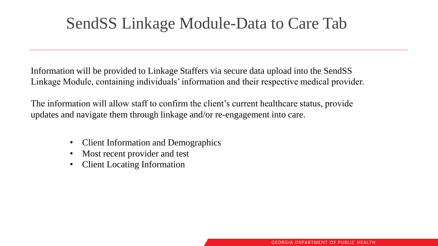### SendSS Linkage Module-Data to Care Tab

Information will be provided to Linkage Staffers via secure data upload into the SendSS Linkage Module, containing individuals' information and their respective medical provider.

The information will allow staff to confirm the client's current healthcare status, provide updates and navigate them through linkage and/or re-engagement into care.

- Client Information and Demographics
- Most recent provider and test
- Client Locating Information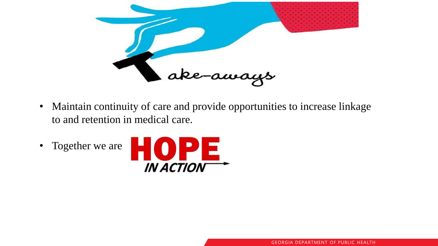

- Maintain continuity of care and provide opportunities to increase linkage to and retention in medical care.
- Together we are

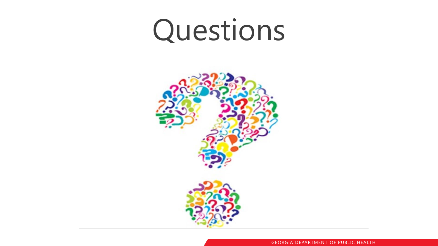# Questions